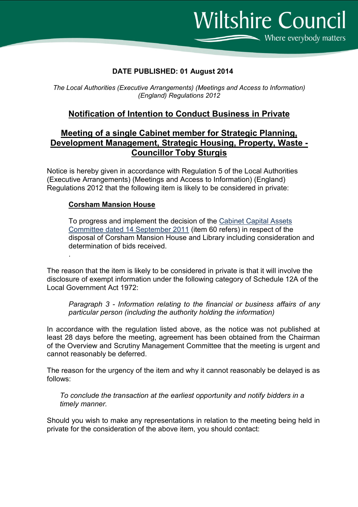**Wiltshire Council** Where everybody matters

## DATE PUBLISHED: 01 August 2014

The Local Authorities (Executive Arrangements) (Meetings and Access to Information) (England) Regulations 2012

## Notification of Intention to Conduct Business in Private

## Meeting of a single Cabinet member for Strategic Planning, Development Management, Strategic Housing, Property, Waste - Councillor Toby Sturgis

Notice is hereby given in accordance with Regulation 5 of the Local Authorities (Executive Arrangements) (Meetings and Access to Information) (England) Regulations 2012 that the following item is likely to be considered in private:

## Corsham Mansion House

.

To progress and implement the decision of the Cabinet Capital Assets Committee dated 14 September 2011 (item 60 refers) in respect of the disposal of Corsham Mansion House and Library including consideration and determination of bids received.

The reason that the item is likely to be considered in private is that it will involve the disclosure of exempt information under the following category of Schedule 12A of the Local Government Act 1972:

Paragraph 3 - Information relating to the financial or business affairs of any particular person (including the authority holding the information)

In accordance with the regulation listed above, as the notice was not published at least 28 days before the meeting, agreement has been obtained from the Chairman of the Overview and Scrutiny Management Committee that the meeting is urgent and cannot reasonably be deferred.

The reason for the urgency of the item and why it cannot reasonably be delayed is as follows:

To conclude the transaction at the earliest opportunity and notify bidders in a timely manner.

Should you wish to make any representations in relation to the meeting being held in private for the consideration of the above item, you should contact: